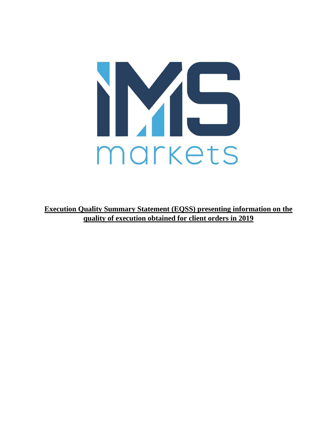

**Execution Quality Summary Statement (EQSS) presenting information on the quality of execution obtained for client orders in 2019**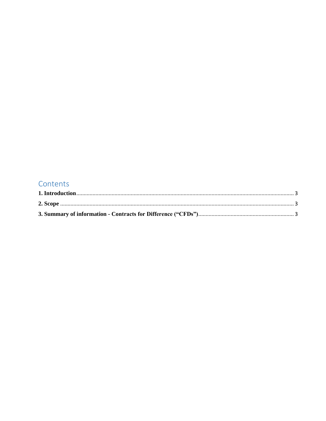## Contents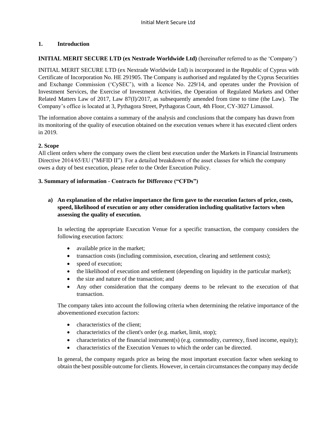#### <span id="page-2-0"></span>**1. Introduction**

#### **INITIAL MERIT SECURE LTD (ex Nextrade Worldwide Ltd)** (hereinafter referred to as the 'Company')

INITIAL MERIT SECURE LTD (ex Nextrade Worldwide Ltd) is incorporated in the Republic of Cyprus with Certificate of Incorporation No. HE 291905. The Company is authorised and regulated by the Cyprus Securities and Exchange Commission ('CySEC'), with a licence No. 229/14, and operates under the Provision of Investment Services, the Exercise of Investment Activities, the Operation of Regulated Markets and Other Related Matters Law of 2017, Law 87(I)/2017, as subsequently amended from time to time (the Law). The Company's office is located at 3, Pythagora Street, Pythagoras Court, 4th Floor, CY-3027 Limassol.

The information above contains a summary of the analysis and conclusions that the company has drawn from its monitoring of the quality of execution obtained on the execution venues where it has executed client orders in 2019.

#### <span id="page-2-1"></span>**2. Scope**

All client orders where the company owes the client best execution under the Markets in Financial Instruments Directive 2014/65/EU ("MiFID II"). For a detailed breakdown of the asset classes for which the company owes a duty of best execution, please refer to the Order Execution Policy.

#### <span id="page-2-2"></span>**3. Summary of information - Contracts for Difference ("CFDs")**

#### **a) An explanation of the relative importance the firm gave to the execution factors of price, costs, speed, likelihood of execution or any other consideration including qualitative factors when assessing the quality of execution.**

In selecting the appropriate Execution Venue for a specific transaction, the company considers the following execution factors:

- available price in the market;
- transaction costs (including commission, execution, clearing and settlement costs);
- speed of execution;
- the likelihood of execution and settlement (depending on liquidity in the particular market);
- the size and nature of the transaction; and
- Any other consideration that the company deems to be relevant to the execution of that transaction.

The company takes into account the following criteria when determining the relative importance of the abovementioned execution factors:

- characteristics of the client:
- characteristics of the client's order (e.g. market, limit, stop);
- characteristics of the financial instrument(s) (e.g. commodity, currency, fixed income, equity);
- characteristics of the Execution Venues to which the order can be directed.

In general, the company regards price as being the most important execution factor when seeking to obtain the best possible outcome for clients. However, in certain circumstances the company may decide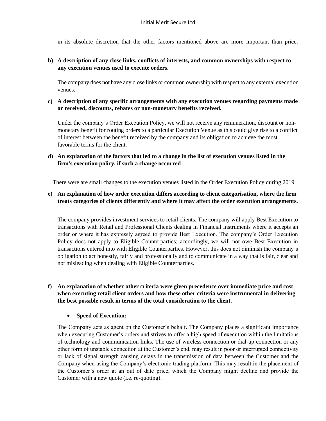in its absolute discretion that the other factors mentioned above are more important than price.

#### **b) A description of any close links, conflicts of interests, and common ownerships with respect to any execution venues used to execute orders.**

The company does not have any close links or common ownership with respect to any external execution venues.

#### **c) A description of any specific arrangements with any execution venues regarding payments made or received, discounts, rebates or non-monetary benefits received.**

Under the company's Order Execution Policy, we will not receive any remuneration, discount or nonmonetary benefit for routing orders to a particular Execution Venue as this could give rise to a conflict of interest between the benefit received by the company and its obligation to achieve the most favorable terms for the client.

#### **d) An explanation of the factors that led to a change in the list of execution venues listed in the firm's execution policy, if such a change occurred**

There were are small changes to the execution venues listed in the Order Execution Policy during 2019.

#### **e) An explanation of how order execution differs according to client categorisation, where the firm treats categories of clients differently and where it may affect the order execution arrangements.**

The company provides investment services to retail clients. The company will apply Best Execution to transactions with Retail and Professional Clients dealing in Financial Instruments where it accepts an order or where it has expressly agreed to provide Best Execution. The company's Order Execution Policy does not apply to Eligible Counterparties; accordingly, we will not owe Best Execution in transactions entered into with Eligible Counterparties. However, this does not diminish the company's obligation to act honestly, fairly and professionally and to communicate in a way that is fair, clear and not misleading when dealing with Eligible Counterparties.

#### **f) An explanation of whether other criteria were given precedence over immediate price and cost when executing retail client orders and how these other criteria were instrumental in delivering the best possible result in terms of the total consideration to the client.**

#### • **Speed of Execution:**

The Company acts as agent on the Customer's behalf. The Company places a significant importance when executing Customer's orders and strives to offer a high speed of execution within the limitations of technology and communication links. The use of wireless connection or dial-up connection or any other form of unstable connection at the Customer's end, may result in poor or interrupted connectivity or lack of signal strength causing delays in the transmission of data between the Customer and the Company when using the Company's electronic trading platform. This may result in the placement of the Customer's order at an out of date price, which the Company might decline and provide the Customer with a new quote (i.e. re-quoting).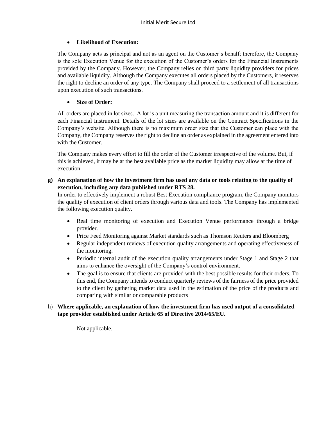#### • **Likelihood of Execution:**

The Company acts as principal and not as an agent on the Customer's behalf; therefore, the Company is the sole Execution Venue for the execution of the Customer's orders for the Financial Instruments provided by the Company. However, the Company relies on third party liquidity providers for prices and available liquidity. Although the Company executes all orders placed by the Customers, it reserves the right to decline an order of any type. The Company shall proceed to a settlement of all transactions upon execution of such transactions.

#### • **Size of Order:**

All orders are placed in lot sizes. A lot is a unit measuring the transaction amount and it is different for each Financial Instrument. Details of the lot sizes are available on the Contract Specifications in the Company's website. Although there is no maximum order size that the Customer can place with the Company, the Company reserves the right to decline an order as explained in the agreement entered into with the Customer.

The Company makes every effort to fill the order of the Customer irrespective of the volume. But, if this is achieved, it may be at the best available price as the market liquidity may allow at the time of execution.

**g) An explanation of how the investment firm has used any data or tools relating to the quality of execution, including any data published under RTS 28.**

In order to effectively implement a robust Best Execution compliance program, the Company monitors the quality of execution of client orders through various data and tools. The Company has implemented the following execution quality.

- Real time monitoring of execution and Execution Venue performance through a bridge provider.
- Price Feed Monitoring against Market standards such as Thomson Reuters and Bloomberg
- Regular independent reviews of execution quality arrangements and operating effectiveness of the monitoring.
- Periodic internal audit of the execution quality arrangements under Stage 1 and Stage 2 that aims to enhance the oversight of the Company's control environment.
- The goal is to ensure that clients are provided with the best possible results for their orders. To this end, the Company intends to conduct quarterly reviews of the fairness of the price provided to the client by gathering market data used in the estimation of the price of the products and comparing with similar or comparable products

#### h) **Where applicable, an explanation of how the investment firm has used output of a consolidated tape provider established under Article 65 of Directive 2014/65/EU.**

Not applicable.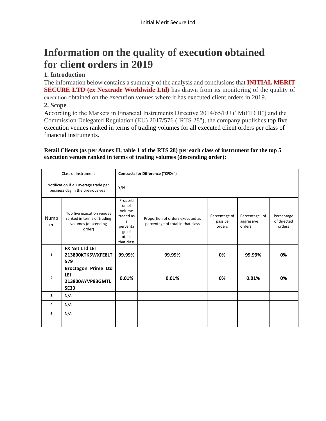# **Information on the quality of execution obtained for client orders in 2019**

### **1. Introduction**

The information below contains a summary of the analysis and conclusions that **INITIAL MERIT SECURE LTD (ex Nextrade Worldwide Ltd)** has drawn from its monitoring of the quality of execution obtained on the execution venues where it has executed client orders in 2019.

#### **2. Scope**

According to the Markets in Financial Instruments Directive 2014/65/EU ("MiFID II") and the Commission Delegated Regulation (EU) 2017/576 ("RTS 28"), the company publishes top five execution venues ranked in terms of trading volumes for all executed client orders per class of financial instruments.

#### **Retail Clients (as per Annex II, table 1 of the RTS 28) per each class of instrument for the top 5 execution venues ranked in terms of trading volumes (descending order):**

|                                                                            | Class of Instrument                                                                      | <b>Contracts for Difference ("CFDs")</b>                                                     |                                                                       |                                    |                                       |                                     |  |
|----------------------------------------------------------------------------|------------------------------------------------------------------------------------------|----------------------------------------------------------------------------------------------|-----------------------------------------------------------------------|------------------------------------|---------------------------------------|-------------------------------------|--|
| Notification if < 1 average trade per<br>business day in the previous year |                                                                                          | Y/N                                                                                          |                                                                       |                                    |                                       |                                     |  |
| Numb<br>er                                                                 | Top five execution venues<br>ranked in terms of trading<br>volumes (descending<br>order) | Proporti<br>on of<br>volume<br>traded as<br>a<br>percenta<br>ge of<br>total in<br>that class | Proportion of orders executed as<br>percentage of total in that class | Percentage of<br>passive<br>orders | Percentage of<br>aggressive<br>orders | Percentage<br>of directed<br>orders |  |
| $\mathbf{1}$                                                               | FX Net LTd LEI<br>213800KTK5WXFE8LT<br>579                                               | 99.99%                                                                                       | 99.99%                                                                | 0%                                 | 99.99%                                | 0%                                  |  |
| $\overline{2}$                                                             | Broctagon Prime Ltd<br>LEI<br>213800AYVP83GMTL<br><b>SE33</b>                            | 0.01%                                                                                        | 0.01%                                                                 | 0%                                 | 0.01%                                 | 0%                                  |  |
| 3                                                                          | N/A                                                                                      |                                                                                              |                                                                       |                                    |                                       |                                     |  |
| 4                                                                          | N/A                                                                                      |                                                                                              |                                                                       |                                    |                                       |                                     |  |
| 5                                                                          | N/A                                                                                      |                                                                                              |                                                                       |                                    |                                       |                                     |  |
|                                                                            |                                                                                          |                                                                                              |                                                                       |                                    |                                       |                                     |  |